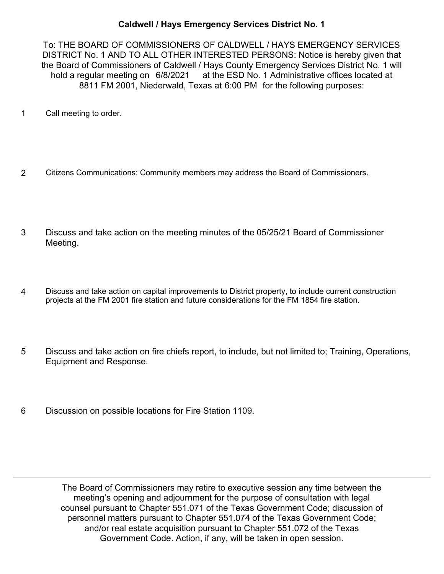## **Caldwell / Hays Emergency Services District No. 1**

To: THE BOARD OF COMMISSIONERS OF CALDWELL / HAYS EMERGENCY SERVICES DISTRICT No. 1 AND TO ALL OTHER INTERESTED PERSONS: Notice is hereby given that the Board of Commissioners of Caldwell / Hays County Emergency Services District No. 1 will hold a regular meeting on 6/8/2021 at the ESD No. 1 Administrative offices located at 8811 FM 2001, Niederwald, Texas at 6:00 PM for the following purposes:

- 1 Call meeting to order.
- 2 Citizens Communications: Community members may address the Board of Commissioners.
- Discuss and take action on the meeting minutes of the 05/25/21 Board of Commissioner Meeting. 3
- Discuss and take action on capital improvements to District property, to include current construction projects at the FM 2001 fire station and future considerations for the FM 1854 fire station. 4
- Discuss and take action on fire chiefs report, to include, but not limited to; Training, Operations, Equipment and Response. 5
- 6 Discussion on possible locations for Fire Station 1109.

The Board of Commissioners may retire to executive session any time between the meeting's opening and adjournment for the purpose of consultation with legal counsel pursuant to Chapter 551.071 of the Texas Government Code; discussion of personnel matters pursuant to Chapter 551.074 of the Texas Government Code; and/or real estate acquisition pursuant to Chapter 551.072 of the Texas Government Code. Action, if any, will be taken in open session.